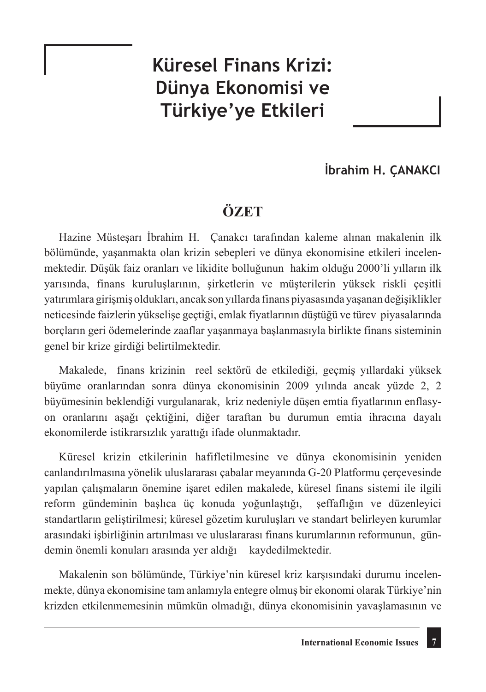## **Küresel Finans Krizi: Dünya Ekonomisi ve Türkiye'ye Etkileri**

## **İbrahim H. ÇANAKCI**

## **ÖZET**

Hazine Müsteşarı İbrahim H. Çanakcı tarafından kaleme alınan makalenin ilk bölümünde, yaşanmakta olan krizin sebepleri ve dünya ekonomisine etkileri incelenmektedir. Düşük faiz oranları ve likidite bolluğunun hakim olduğu 2000'li yılların ilk yarısında, finans kuruluşlarının, şirketlerin ve müşterilerin yüksek riskli çeşitli yatırımlara girişmiş oldukları, ancak son yıllarda finans piyasasında yaşanan değişiklikler neticesinde faizlerin yükselişe geçtiği, emlak fiyatlarının düştüğü ve türev piyasalarında borçların geri ödemelerinde zaaflar yaşanmaya başlanmasıyla birlikte finans sisteminin genel bir krize girdiği belirtilmektedir.

Makalede, finans krizinin reel sektörü de etkilediği, geçmiş yıllardaki yüksek büyüme oranlarından sonra dünya ekonomisinin 2009 yılında ancak yüzde 2, 2 büyümesinin beklendiği vurgulanarak, kriz nedeniyle düşen emtia fiyatlarının enflasyon oranlarını aşağı çektiğini, diğer taraftan bu durumun emtia ihracına dayalı ekonomilerde istikrarsızlık yarattığı ifade olunmaktadır.

Küresel krizin etkilerinin hafifletilmesine ve dünya ekonomisinin yeniden canlandırılmasına yönelik uluslararası çabalar meyanında G-20 Platformu çerçevesinde yapılan çalışmaların önemine işaret edilen makalede, küresel finans sistemi ile ilgili reform gündeminin başlıca üç konuda yoğunlaştığı, şeffaflığın ve düzenleyici standartların geliştirilmesi; küresel gözetim kuruluşları ve standart belirleyen kurumlar arasındaki işbirliğinin artırılması ve uluslararası finans kurumlarının reformunun, gündemin önemli konuları arasında yer aldığı kaydedilmektedir.

Makalenin son bölümünde, Türkiye'nin küresel kriz karşısındaki durumu incelenmekte, dünya ekonomisine tam anlamıyla entegre olmuş bir ekonomi olarak Türkiye'nin krizden etkilenmemesinin mümkün olmadığı, dünya ekonomisinin yavaşlamasının ve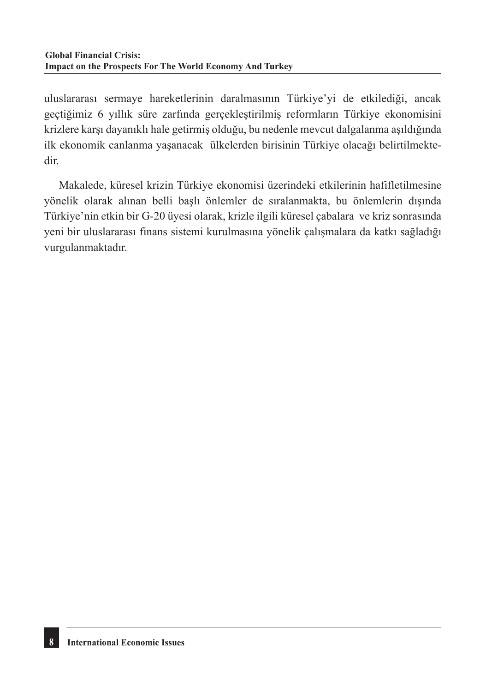uluslararası sermaye hareketlerinin daralmasının Türkiye'yi de etkilediği, ancak geçtiğimiz 6 yıllık süre zarfında gerçekleştirilmiş reformların Türkiye ekonomisini krizlere karşı dayanıklı hale getirmiş olduğu, bu nedenle mevcut dalgalanma aşıldığında ilk ekonomik canlanma yaşanacak ülkelerden birisinin Türkiye olacağı belirtilmektedir.

Makalede, küresel krizin Türkiye ekonomisi üzerindeki etkilerinin hafifletilmesine yönelik olarak alınan belli başlı önlemler de sıralanmakta, bu önlemlerin dışında Türkiye'nin etkin bir G-20 üyesi olarak, krizle ilgili küresel çabalara ve kriz sonrasında yeni bir uluslararası finans sistemi kurulmasına yönelik çalışmalara da katkı sağladığı vurgulanmaktadır.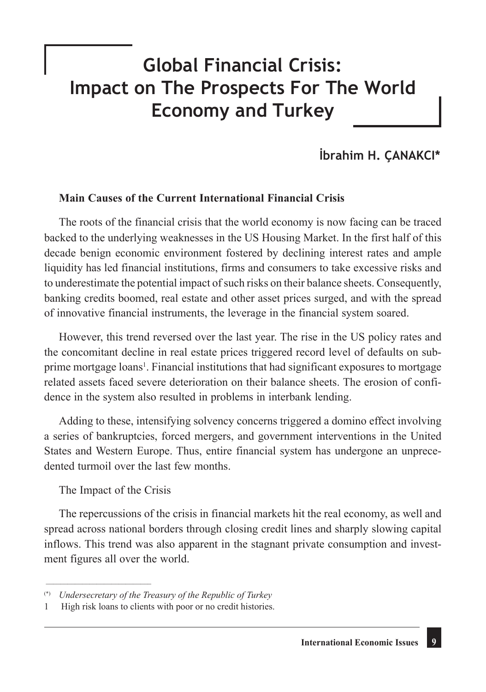# **Global Financial Crisis: Impact on The Prospects For The World Economy and Turkey**

## **İbrahim H. ÇANAKCI\***

#### **Main Causes of the Current International Financial Crisis**

The roots of the financial crisis that the world economy is now facing can be traced backed to the underlying weaknesses in the US Housing Market. In the first half of this decade benign economic environment fostered by declining interest rates and ample liquidity has led financial institutions, firms and consumers to take excessive risks and to underestimate the potential impact of such risks on their balance sheets. Consequently, banking credits boomed, real estate and other asset prices surged, and with the spread of innovative financial instruments, the leverage in the financial system soared.

However, this trend reversed over the last year. The rise in the US policy rates and the concomitant decline in real estate prices triggered record level of defaults on subprime mortgage loans<sup>1</sup>. Financial institutions that had significant exposures to mortgage related assets faced severe deterioration on their balance sheets. The erosion of confidence in the system also resulted in problems in interbank lending.

Adding to these, intensifying solvency concerns triggered a domino effect involving a series of bankruptcies, forced mergers, and government interventions in the United States and Western Europe. Thus, entire financial system has undergone an unprecedented turmoil over the last few months.

The Impact of the Crisis

\_\_\_\_\_\_\_\_\_\_\_\_\_\_\_\_\_\_\_\_\_\_\_\_\_\_\_\_\_

The repercussions of the crisis in financial markets hit the real economy, as well and spread across national borders through closing credit lines and sharply slowing capital inflows. This trend was also apparent in the stagnant private consumption and investment figures all over the world.

<sup>(\*)</sup> *Undersecretary of the Treasury of the Republic of Turkey*

High risk loans to clients with poor or no credit histories.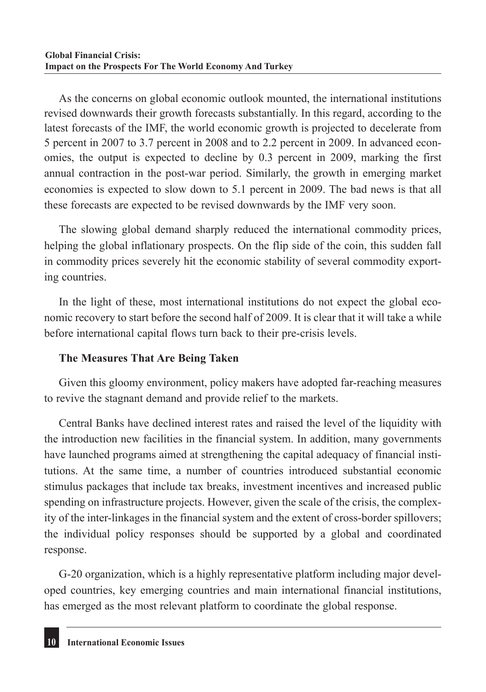As the concerns on global economic outlook mounted, the international institutions revised downwards their growth forecasts substantially. In this regard, according to the latest forecasts of the IMF, the world economic growth is projected to decelerate from 5 percent in 2007 to 3.7 percent in 2008 and to 2.2 percent in 2009. In advanced economies, the output is expected to decline by 0.3 percent in 2009, marking the first annual contraction in the post-war period. Similarly, the growth in emerging market economies is expected to slow down to 5.1 percent in 2009. The bad news is that all these forecasts are expected to be revised downwards by the IMF very soon.

The slowing global demand sharply reduced the international commodity prices, helping the global inflationary prospects. On the flip side of the coin, this sudden fall in commodity prices severely hit the economic stability of several commodity exporting countries.

In the light of these, most international institutions do not expect the global economic recovery to start before the second half of 2009. It is clear that it will take a while before international capital flows turn back to their pre-crisis levels.

### **The Measures That Are Being Taken**

Given this gloomy environment, policy makers have adopted far-reaching measures to revive the stagnant demand and provide relief to the markets.

Central Banks have declined interest rates and raised the level of the liquidity with the introduction new facilities in the financial system. In addition, many governments have launched programs aimed at strengthening the capital adequacy of financial institutions. At the same time, a number of countries introduced substantial economic stimulus packages that include tax breaks, investment incentives and increased public spending on infrastructure projects. However, given the scale of the crisis, the complexity of the inter-linkages in the financial system and the extent of cross-border spillovers; the individual policy responses should be supported by a global and coordinated response.

G-20 organization, which is a highly representative platform including major developed countries, key emerging countries and main international financial institutions, has emerged as the most relevant platform to coordinate the global response.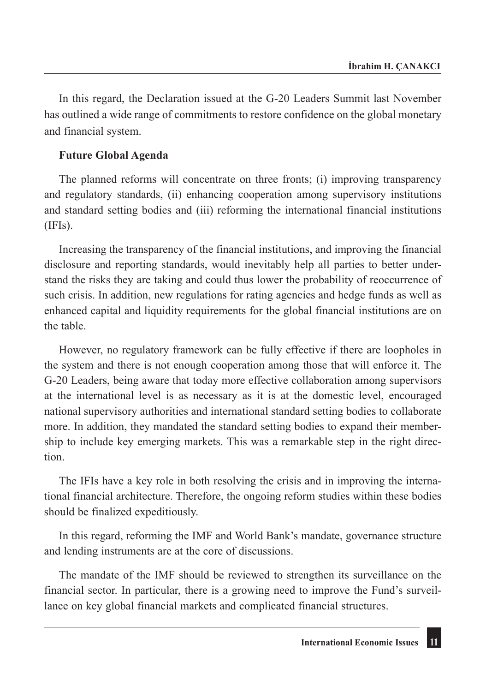In this regard, the Declaration issued at the G-20 Leaders Summit last November has outlined a wide range of commitments to restore confidence on the global monetary and financial system.

#### **Future Global Agenda**

The planned reforms will concentrate on three fronts; (i) improving transparency and regulatory standards, (ii) enhancing cooperation among supervisory institutions and standard setting bodies and (iii) reforming the international financial institutions (IFIs).

Increasing the transparency of the financial institutions, and improving the financial disclosure and reporting standards, would inevitably help all parties to better understand the risks they are taking and could thus lower the probability of reoccurrence of such crisis. In addition, new regulations for rating agencies and hedge funds as well as enhanced capital and liquidity requirements for the global financial institutions are on the table.

However, no regulatory framework can be fully effective if there are loopholes in the system and there is not enough cooperation among those that will enforce it. The G-20 Leaders, being aware that today more effective collaboration among supervisors at the international level is as necessary as it is at the domestic level, encouraged national supervisory authorities and international standard setting bodies to collaborate more. In addition, they mandated the standard setting bodies to expand their membership to include key emerging markets. This was a remarkable step in the right direction.

The IFIs have a key role in both resolving the crisis and in improving the international financial architecture. Therefore, the ongoing reform studies within these bodies should be finalized expeditiously.

In this regard, reforming the IMF and World Bank's mandate, governance structure and lending instruments are at the core of discussions.

The mandate of the IMF should be reviewed to strengthen its surveillance on the financial sector. In particular, there is a growing need to improve the Fund's surveillance on key global financial markets and complicated financial structures.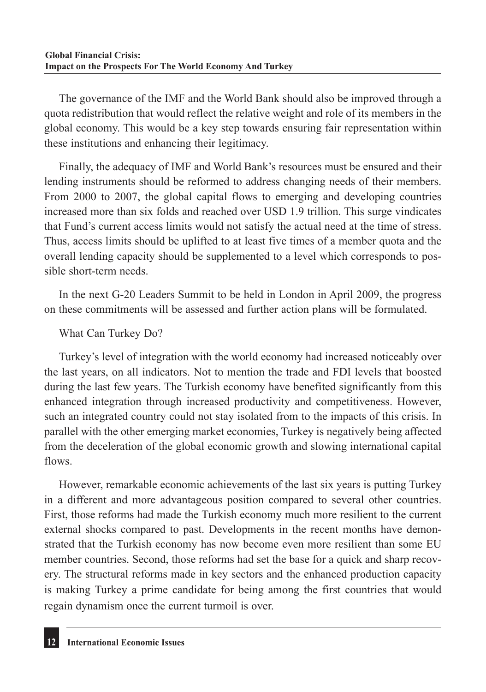The governance of the IMF and the World Bank should also be improved through a quota redistribution that would reflect the relative weight and role of its members in the global economy. This would be a key step towards ensuring fair representation within these institutions and enhancing their legitimacy.

Finally, the adequacy of IMF and World Bank's resources must be ensured and their lending instruments should be reformed to address changing needs of their members. From 2000 to 2007, the global capital flows to emerging and developing countries increased more than six folds and reached over USD 1.9 trillion. This surge vindicates that Fund's current access limits would not satisfy the actual need at the time of stress. Thus, access limits should be uplifted to at least five times of a member quota and the overall lending capacity should be supplemented to a level which corresponds to possible short-term needs.

In the next G-20 Leaders Summit to be held in London in April 2009, the progress on these commitments will be assessed and further action plans will be formulated.

### What Can Turkey Do?

Turkey's level of integration with the world economy had increased noticeably over the last years, on all indicators. Not to mention the trade and FDI levels that boosted during the last few years. The Turkish economy have benefited significantly from this enhanced integration through increased productivity and competitiveness. However, such an integrated country could not stay isolated from to the impacts of this crisis. In parallel with the other emerging market economies, Turkey is negatively being affected from the deceleration of the global economic growth and slowing international capital flows.

However, remarkable economic achievements of the last six years is putting Turkey in a different and more advantageous position compared to several other countries. First, those reforms had made the Turkish economy much more resilient to the current external shocks compared to past. Developments in the recent months have demonstrated that the Turkish economy has now become even more resilient than some EU member countries. Second, those reforms had set the base for a quick and sharp recovery. The structural reforms made in key sectors and the enhanced production capacity is making Turkey a prime candidate for being among the first countries that would regain dynamism once the current turmoil is over.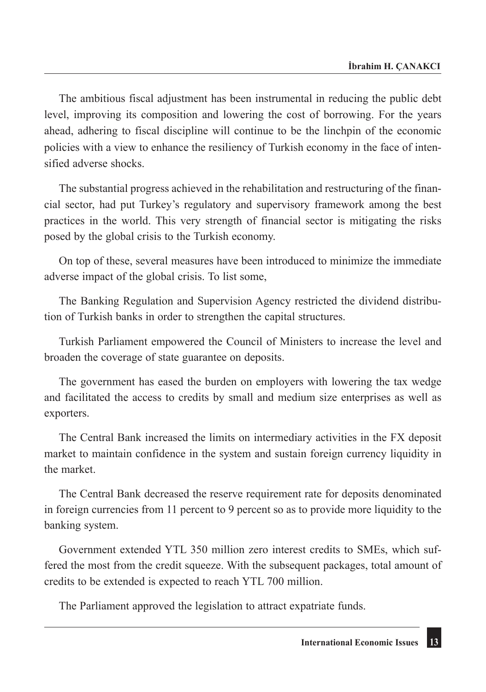The ambitious fiscal adjustment has been instrumental in reducing the public debt level, improving its composition and lowering the cost of borrowing. For the years ahead, adhering to fiscal discipline will continue to be the linchpin of the economic policies with a view to enhance the resiliency of Turkish economy in the face of intensified adverse shocks.

The substantial progress achieved in the rehabilitation and restructuring of the financial sector, had put Turkey's regulatory and supervisory framework among the best practices in the world. This very strength of financial sector is mitigating the risks posed by the global crisis to the Turkish economy.

On top of these, several measures have been introduced to minimize the immediate adverse impact of the global crisis. To list some,

The Banking Regulation and Supervision Agency restricted the dividend distribution of Turkish banks in order to strengthen the capital structures.

Turkish Parliament empowered the Council of Ministers to increase the level and broaden the coverage of state guarantee on deposits.

The government has eased the burden on employers with lowering the tax wedge and facilitated the access to credits by small and medium size enterprises as well as exporters.

The Central Bank increased the limits on intermediary activities in the FX deposit market to maintain confidence in the system and sustain foreign currency liquidity in the market.

The Central Bank decreased the reserve requirement rate for deposits denominated in foreign currencies from 11 percent to 9 percent so as to provide more liquidity to the banking system.

Government extended YTL 350 million zero interest credits to SMEs, which suffered the most from the credit squeeze. With the subsequent packages, total amount of credits to be extended is expected to reach YTL 700 million.

The Parliament approved the legislation to attract expatriate funds.